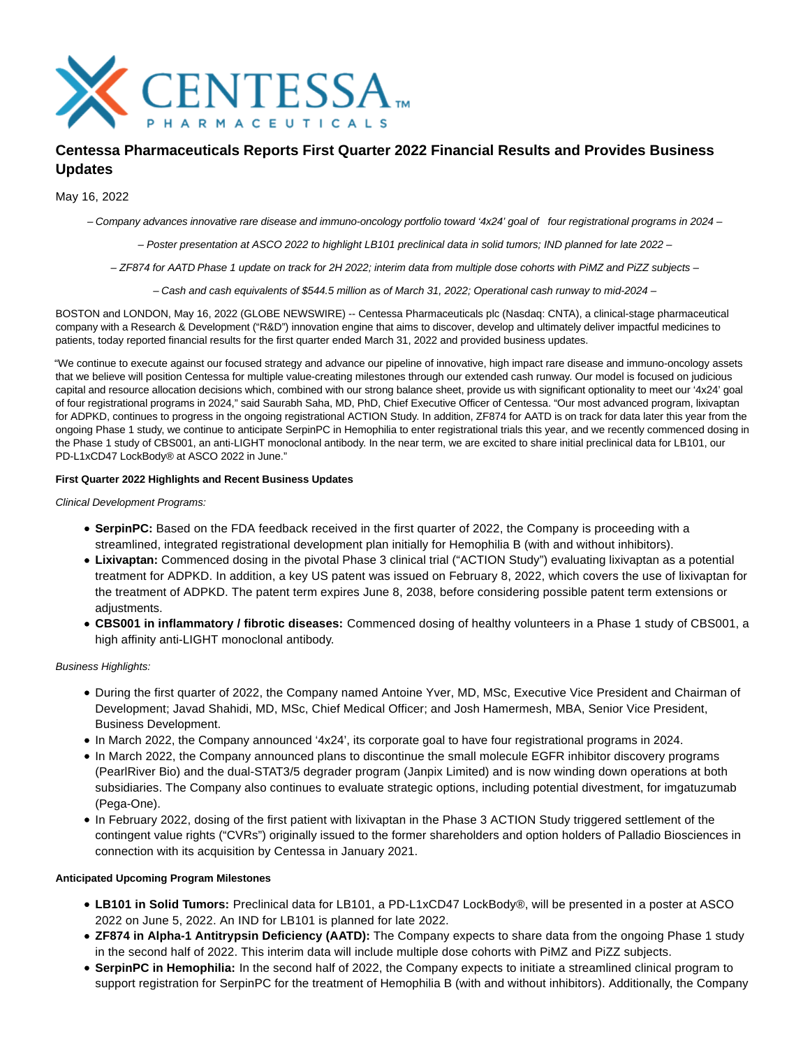

# **Centessa Pharmaceuticals Reports First Quarter 2022 Financial Results and Provides Business Updates**

May 16, 2022

– Company advances innovative rare disease and immuno-oncology portfolio toward '4x24' goal of four registrational programs in 2024 –

– Poster presentation at ASCO 2022 to highlight LB101 preclinical data in solid tumors; IND planned for late 2022 –

– ZF874 for AATD Phase 1 update on track for 2H 2022; interim data from multiple dose cohorts with PiMZ and PiZZ subjects –

– Cash and cash equivalents of \$544.5 million as of March 31, 2022; Operational cash runway to mid-2024 –

BOSTON and LONDON, May 16, 2022 (GLOBE NEWSWIRE) -- Centessa Pharmaceuticals plc (Nasdaq: CNTA), a clinical-stage pharmaceutical company with a Research & Development ("R&D") innovation engine that aims to discover, develop and ultimately deliver impactful medicines to patients, today reported financial results for the first quarter ended March 31, 2022 and provided business updates.

"We continue to execute against our focused strategy and advance our pipeline of innovative, high impact rare disease and immuno-oncology assets that we believe will position Centessa for multiple value-creating milestones through our extended cash runway. Our model is focused on judicious capital and resource allocation decisions which, combined with our strong balance sheet, provide us with significant optionality to meet our '4x24' goal of four registrational programs in 2024," said Saurabh Saha, MD, PhD, Chief Executive Officer of Centessa. "Our most advanced program, lixivaptan for ADPKD, continues to progress in the ongoing registrational ACTION Study. In addition, ZF874 for AATD is on track for data later this year from the ongoing Phase 1 study, we continue to anticipate SerpinPC in Hemophilia to enter registrational trials this year, and we recently commenced dosing in the Phase 1 study of CBS001, an anti-LIGHT monoclonal antibody. In the near term, we are excited to share initial preclinical data for LB101, our PD-L1xCD47 LockBody® at ASCO 2022 in June."

#### **First Quarter 2022 Highlights and Recent Business Updates**

Clinical Development Programs:

- **SerpinPC:** Based on the FDA feedback received in the first quarter of 2022, the Company is proceeding with a streamlined, integrated registrational development plan initially for Hemophilia B (with and without inhibitors).
- **Lixivaptan:** Commenced dosing in the pivotal Phase 3 clinical trial ("ACTION Study") evaluating lixivaptan as a potential treatment for ADPKD. In addition, a key US patent was issued on February 8, 2022, which covers the use of lixivaptan for the treatment of ADPKD. The patent term expires June 8, 2038, before considering possible patent term extensions or adiustments.
- **CBS001 in inflammatory / fibrotic diseases:** Commenced dosing of healthy volunteers in a Phase 1 study of CBS001, a high affinity anti-LIGHT monoclonal antibody.

Business Highlights:

- During the first quarter of 2022, the Company named Antoine Yver, MD, MSc, Executive Vice President and Chairman of Development; Javad Shahidi, MD, MSc, Chief Medical Officer; and Josh Hamermesh, MBA, Senior Vice President, Business Development.
- In March 2022, the Company announced '4x24', its corporate goal to have four registrational programs in 2024.
- In March 2022, the Company announced plans to discontinue the small molecule EGFR inhibitor discovery programs (PearlRiver Bio) and the dual-STAT3/5 degrader program (Janpix Limited) and is now winding down operations at both subsidiaries. The Company also continues to evaluate strategic options, including potential divestment, for imgatuzumab (Pega-One).
- In February 2022, dosing of the first patient with lixivaptan in the Phase 3 ACTION Study triggered settlement of the contingent value rights ("CVRs") originally issued to the former shareholders and option holders of Palladio Biosciences in connection with its acquisition by Centessa in January 2021.

#### **Anticipated Upcoming Program Milestones**

- **LB101 in Solid Tumors:** Preclinical data for LB101, a PD-L1xCD47 LockBody®, will be presented in a poster at ASCO 2022 on June 5, 2022. An IND for LB101 is planned for late 2022.
- **ZF874 in Alpha-1 Antitrypsin Deficiency (AATD):** The Company expects to share data from the ongoing Phase 1 study in the second half of 2022. This interim data will include multiple dose cohorts with PiMZ and PiZZ subjects.
- **SerpinPC in Hemophilia:** In the second half of 2022, the Company expects to initiate a streamlined clinical program to support registration for SerpinPC for the treatment of Hemophilia B (with and without inhibitors). Additionally, the Company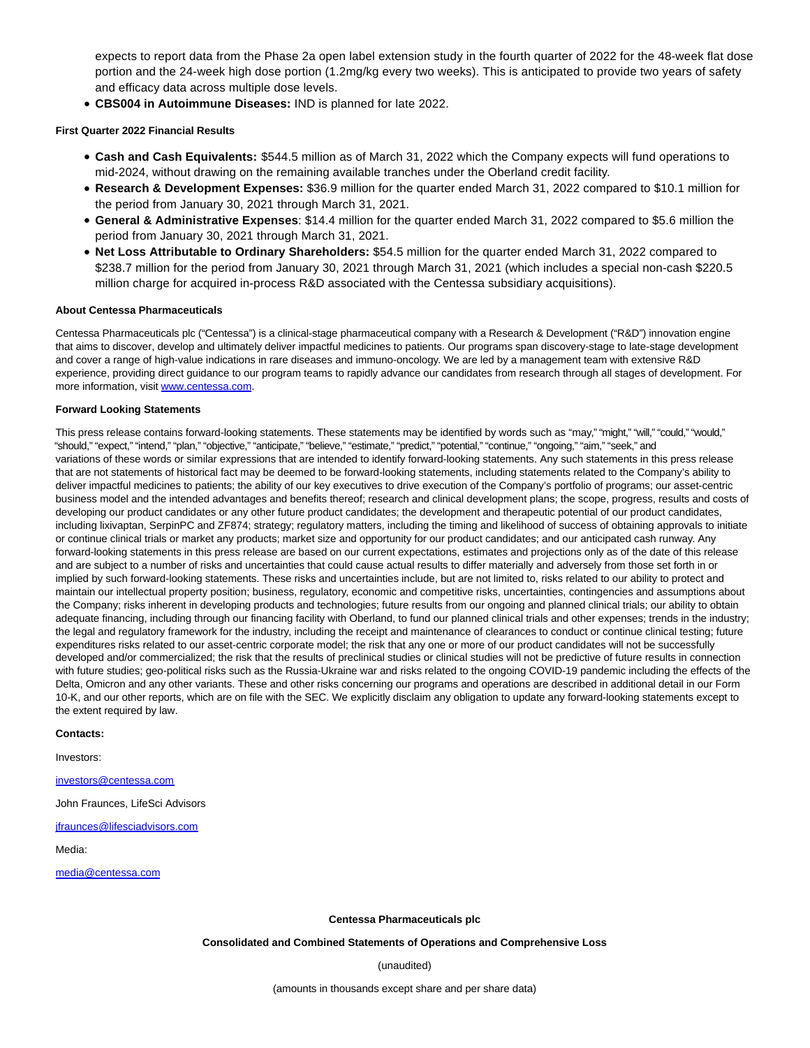expects to report data from the Phase 2a open label extension study in the fourth quarter of 2022 for the 48-week flat dose portion and the 24-week high dose portion (1.2mg/kg every two weeks). This is anticipated to provide two years of safety and efficacy data across multiple dose levels.

**CBS004 in Autoimmune Diseases:** IND is planned for late 2022.

#### **First Quarter 2022 Financial Results**

- **Cash and Cash Equivalents:** \$544.5 million as of March 31, 2022 which the Company expects will fund operations to mid-2024, without drawing on the remaining available tranches under the Oberland credit facility.
- **Research & Development Expenses:** \$36.9 million for the quarter ended March 31, 2022 compared to \$10.1 million for the period from January 30, 2021 through March 31, 2021.
- **General & Administrative Expenses**: \$14.4 million for the quarter ended March 31, 2022 compared to \$5.6 million the period from January 30, 2021 through March 31, 2021.
- **Net Loss Attributable to Ordinary Shareholders:** \$54.5 million for the quarter ended March 31, 2022 compared to \$238.7 million for the period from January 30, 2021 through March 31, 2021 (which includes a special non-cash \$220.5 million charge for acquired in-process R&D associated with the Centessa subsidiary acquisitions).

#### **About Centessa Pharmaceuticals**

Centessa Pharmaceuticals plc ("Centessa") is a clinical-stage pharmaceutical company with a Research & Development ("R&D") innovation engine that aims to discover, develop and ultimately deliver impactful medicines to patients. Our programs span discovery-stage to late-stage development and cover a range of high-value indications in rare diseases and immuno-oncology. We are led by a management team with extensive R&D experience, providing direct guidance to our program teams to rapidly advance our candidates from research through all stages of development. For more information, visit [www.centessa.com.](https://www.globenewswire.com/Tracker?data=Hisxxvm_jaIBbnHZNvkKL1gv6JrnyVWYtZ-7TKnm9r7tjHHCnT816i60pCf7I3JjqXvbWOSve3bcG0rquLE92w==)

#### **Forward Looking Statements**

This press release contains forward-looking statements. These statements may be identified by words such as "may," "might," "will," "could," "would," "should," "expect," "intend," "plan," "objective," "anticipate," "believe," "estimate," "predict," "potential," "continue," "ongoing," "aim," "seek," and variations of these words or similar expressions that are intended to identify forward-looking statements. Any such statements in this press release that are not statements of historical fact may be deemed to be forward-looking statements, including statements related to the Company's ability to deliver impactful medicines to patients; the ability of our key executives to drive execution of the Company's portfolio of programs; our asset-centric business model and the intended advantages and benefits thereof; research and clinical development plans; the scope, progress, results and costs of developing our product candidates or any other future product candidates; the development and therapeutic potential of our product candidates, including lixivaptan, SerpinPC and ZF874; strategy; regulatory matters, including the timing and likelihood of success of obtaining approvals to initiate or continue clinical trials or market any products; market size and opportunity for our product candidates; and our anticipated cash runway. Any forward-looking statements in this press release are based on our current expectations, estimates and projections only as of the date of this release and are subject to a number of risks and uncertainties that could cause actual results to differ materially and adversely from those set forth in or implied by such forward-looking statements. These risks and uncertainties include, but are not limited to, risks related to our ability to protect and maintain our intellectual property position; business, regulatory, economic and competitive risks, uncertainties, contingencies and assumptions about the Company; risks inherent in developing products and technologies; future results from our ongoing and planned clinical trials; our ability to obtain adequate financing, including through our financing facility with Oberland, to fund our planned clinical trials and other expenses; trends in the industry; the legal and regulatory framework for the industry, including the receipt and maintenance of clearances to conduct or continue clinical testing; future expenditures risks related to our asset-centric corporate model; the risk that any one or more of our product candidates will not be successfully developed and/or commercialized; the risk that the results of preclinical studies or clinical studies will not be predictive of future results in connection with future studies; geo-political risks such as the Russia-Ukraine war and risks related to the ongoing COVID-19 pandemic including the effects of the Delta, Omicron and any other variants. These and other risks concerning our programs and operations are described in additional detail in our Form 10-K, and our other reports, which are on file with the SEC. We explicitly disclaim any obligation to update any forward-looking statements except to the extent required by law.

#### **Contacts:**

Investors:

### [investors@centessa.com](https://www.globenewswire.com/Tracker?data=fgUn4-lL7AJkHg0xdMjhth7ED5uDolunIHG0tAuuU80V2buhwNRC_0vaQkjGcyGys7pw-ystWgGTKRkozL-cKxLaEwKdNeWgZX0pFvCY5r4=)

John Fraunces, LifeSci Advisors

#### [jfraunces@lifesciadvisors.com](https://www.globenewswire.com/Tracker?data=nUQQ0rb4ZlYlBS1yxrveIUxKD8tTxXBSOkOWZwLRavEiYSIXu_VcC4JY2Eq4Z2oCbg0neU_tZn5A92y6FbsXvtcJxCGHmbSO_M86mv2M3KmCxV-q4XjMHLRz_QayHFcM)

Media:

[media@centessa.com](https://www.globenewswire.com/Tracker?data=n5yo8W85HWed2ZSE7FAWW7o-wnb1Ed6FmDtzDk1cxevp0ungsgpidY6sDjKc4p57JItv2ebDIGp9itnIMmiz6fADnyZY1pU08PWgZP_zTOI=)

**Centessa Pharmaceuticals plc**

**Consolidated and Combined Statements of Operations and Comprehensive Loss**

(unaudited)